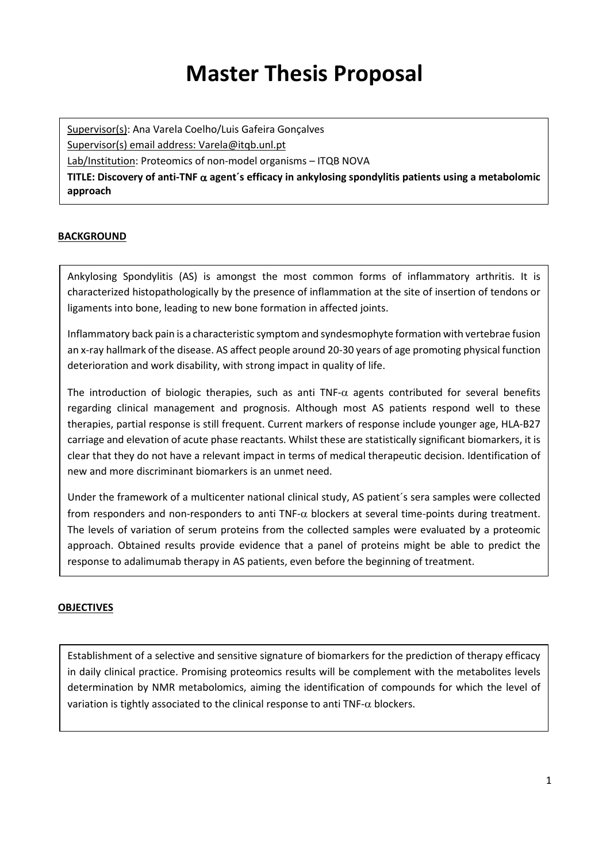# **Master Thesis Proposal**

Supervisor(s): Ana Varela Coelho/Luis Gafeira Gonçalves

Supervisor(s) email address: Varela@itqb.unl.pt

Lab/Institution: Proteomics of non-model organisms – ITQB NOVA

**TITLE: Discovery of anti-TNF** α **agent´s efficacy in ankylosing spondylitis patients using a metabolomic approach**

## **BACKGROUND**

Ankylosing Spondylitis (AS) is amongst the most common forms of inflammatory arthritis. It is characterized histopathologically by the presence of inflammation at the site of insertion of tendons or ligaments into bone, leading to new bone formation in affected joints.

Inflammatory back pain is a characteristic symptom and syndesmophyte formation with vertebrae fusion an x-ray hallmark of the disease. AS affect people around 20-30 years of age promoting physical function deterioration and work disability, with strong impact in quality of life.

The introduction of biologic therapies, such as anti TNF- $\alpha$  agents contributed for several benefits regarding clinical management and prognosis. Although most AS patients respond well to these therapies, partial response is still frequent. Current markers of response include younger age, HLA-B27 carriage and elevation of acute phase reactants. Whilst these are statistically significant biomarkers, it is clear that they do not have a relevant impact in terms of medical therapeutic decision. Identification of new and more discriminant biomarkers is an unmet need.

Under the framework of a multicenter national clinical study, AS patient´s sera samples were collected from responders and non-responders to anti  $TNF-\alpha$  blockers at several time-points during treatment. The levels of variation of serum proteins from the collected samples were evaluated by a proteomic approach. Obtained results provide evidence that a panel of proteins might be able to predict the response to adalimumab therapy in AS patients, even before the beginning of treatment.

### **OBJECTIVES**

Establishment of a selective and sensitive signature of biomarkers for the prediction of therapy efficacy in daily clinical practice. Promising proteomics results will be complement with the metabolites levels determination by NMR metabolomics, aiming the identification of compounds for which the level of variation is tightly associated to the clinical response to anti TNF- $\alpha$  blockers.